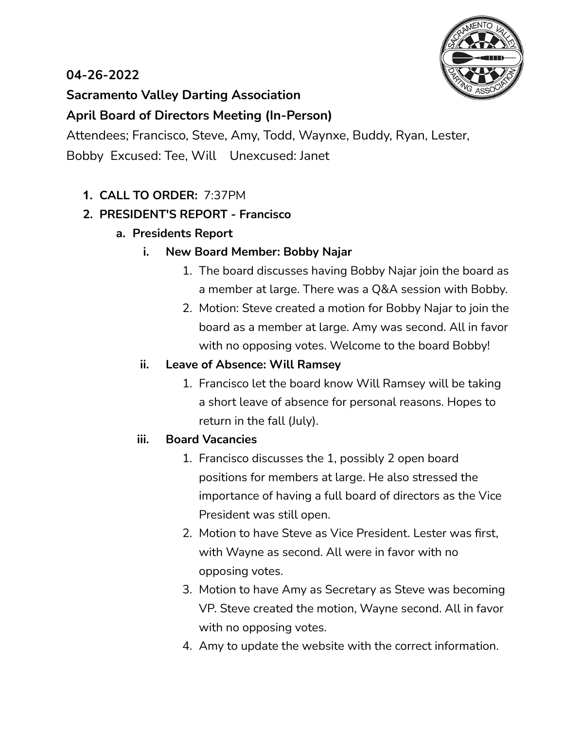# **04-26-2022**



# **Sacramento Valley Darting Association**

## **April Board of Directors Meeting (In-Person)**

Attendees; Francisco, Steve, Amy, Todd, Waynxe, Buddy, Ryan, Lester, Bobby Excused: Tee, Will Unexcused: Janet

## **1. CALL TO ORDER:** 7:37PM

## **2. PRESIDENT'S REPORT - Francisco**

**a. Presidents Report**

### **i. New Board Member: Bobby Najar**

- 1. The board discusses having Bobby Najar join the board as a member at large. There was a Q&A session with Bobby.
- 2. Motion: Steve created a motion for Bobby Najar to join the board as a member at large. Amy was second. All in favor with no opposing votes. Welcome to the board Bobby!

#### **ii. Leave of Absence: Will Ramsey**

1. Francisco let the board know Will Ramsey will be taking a short leave of absence for personal reasons. Hopes to return in the fall (July).

#### **iii. Board Vacancies**

- 1. Francisco discusses the 1, possibly 2 open board positions for members at large. He also stressed the importance of having a full board of directors as the Vice President was still open.
- 2. Motion to have Steve as Vice President. Lester was first, with Wayne as second. All were in favor with no opposing votes.
- 3. Motion to have Amy as Secretary as Steve was becoming VP. Steve created the motion, Wayne second. All in favor with no opposing votes.
- 4. Amy to update the website with the correct information.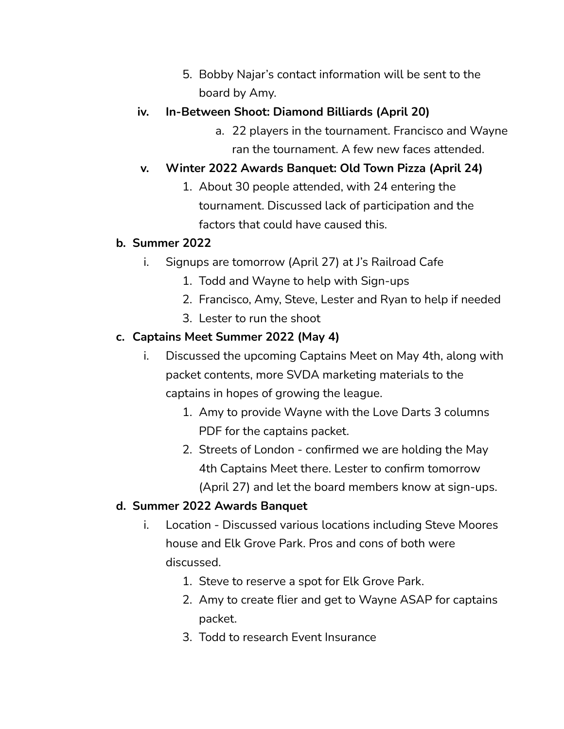5. Bobby Najar's contact information will be sent to the board by Amy.

## **iv. In-Between Shoot: Diamond Billiards (April 20)**

a. 22 players in the tournament. Francisco and Wayne ran the tournament. A few new faces attended.

# **v. Winter 2022 Awards Banquet: Old Town Pizza (April 24)**

1. About 30 people attended, with 24 entering the tournament. Discussed lack of participation and the factors that could have caused this.

### **b. Summer 2022**

- i. Signups are tomorrow (April 27) at J's Railroad Cafe
	- 1. Todd and Wayne to help with Sign-ups
	- 2. Francisco, Amy, Steve, Lester and Ryan to help if needed
	- 3. Lester to run the shoot

## **c. Captains Meet Summer 2022 (May 4)**

- i. Discussed the upcoming Captains Meet on May 4th, along with packet contents, more SVDA marketing materials to the captains in hopes of growing the league.
	- 1. Amy to provide Wayne with the Love Darts 3 columns PDF for the captains packet.
	- 2. Streets of London confirmed we are holding the May 4th Captains Meet there. Lester to confirm tomorrow (April 27) and let the board members know at sign-ups.

### **d. Summer 2022 Awards Banquet**

- i. Location Discussed various locations including Steve Moores house and Elk Grove Park. Pros and cons of both were discussed.
	- 1. Steve to reserve a spot for Elk Grove Park.
	- 2. Amy to create flier and get to Wayne ASAP for captains packet.
	- 3. Todd to research Event Insurance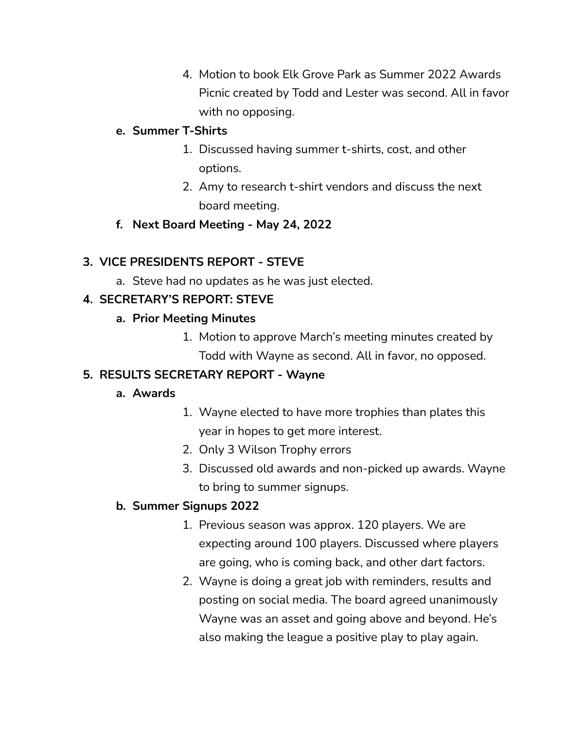4. Motion to book Elk Grove Park as Summer 2022 Awards Picnic created by Todd and Lester was second. All in favor with no opposing.

#### **e. Summer T-Shirts**

- 1. Discussed having summer t-shirts, cost, and other options.
- 2. Amy to research t-shirt vendors and discuss the next board meeting.
- **f. Next Board Meeting - May 24, 2022**

## **3. VICE PRESIDENTS REPORT - STEVE**

a. Steve had no updates as he was just elected.

## **4. SECRETARY'S REPORT: STEVE**

### **a. Prior Meeting Minutes**

1. Motion to approve March's meeting minutes created by Todd with Wayne as second. All in favor, no opposed.

### **5. RESULTS SECRETARY REPORT - Wayne**

#### **a. Awards**

- 1. Wayne elected to have more trophies than plates this year in hopes to get more interest.
- 2. Only 3 Wilson Trophy errors
- 3. Discussed old awards and non-picked up awards. Wayne to bring to summer signups.

### **b. Summer Signups 2022**

- 1. Previous season was approx. 120 players. We are expecting around 100 players. Discussed where players are going, who is coming back, and other dart factors.
- 2. Wayne is doing a great job with reminders, results and posting on social media. The board agreed unanimously Wayne was an asset and going above and beyond. He's also making the league a positive play to play again.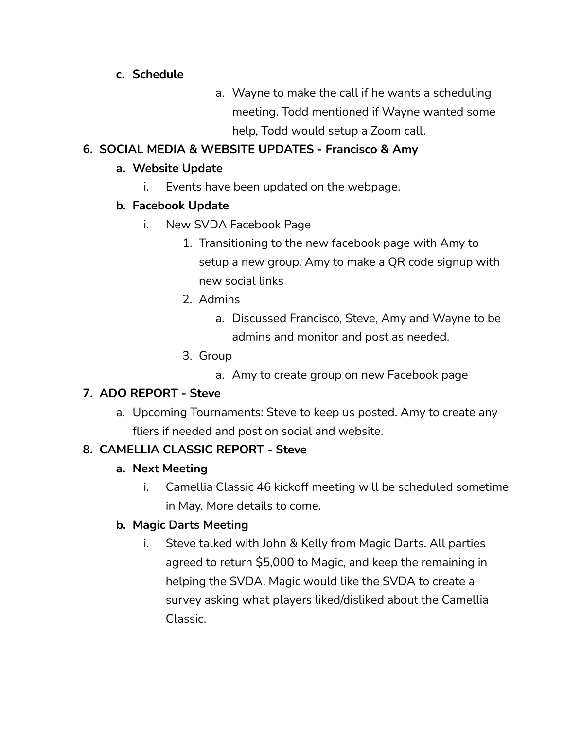#### **c. Schedule**

a. Wayne to make the call if he wants a scheduling meeting. Todd mentioned if Wayne wanted some help, Todd would setup a Zoom call.

# **6. SOCIAL MEDIA & WEBSITE UPDATES - Francisco & Amy**

#### **a. Website Update**

i. Events have been updated on the webpage.

#### **b. Facebook Update**

- i. New SVDA Facebook Page
	- 1. Transitioning to the new facebook page with Amy to setup a new group. Amy to make a QR code signup with new social links
	- 2. Admins
		- a. Discussed Francisco, Steve, Amy and Wayne to be admins and monitor and post as needed.
	- 3. Group
		- a. Amy to create group on new Facebook page

#### **7. ADO REPORT - Steve**

a. Upcoming Tournaments: Steve to keep us posted. Amy to create any fliers if needed and post on social and website.

### **8. CAMELLIA CLASSIC REPORT - Steve**

#### **a. Next Meeting**

i. Camellia Classic 46 kickoff meeting will be scheduled sometime in May. More details to come.

### **b. Magic Darts Meeting**

i. Steve talked with John & Kelly from Magic Darts. All parties agreed to return \$5,000 to Magic, and keep the remaining in helping the SVDA. Magic would like the SVDA to create a survey asking what players liked/disliked about the Camellia Classic.